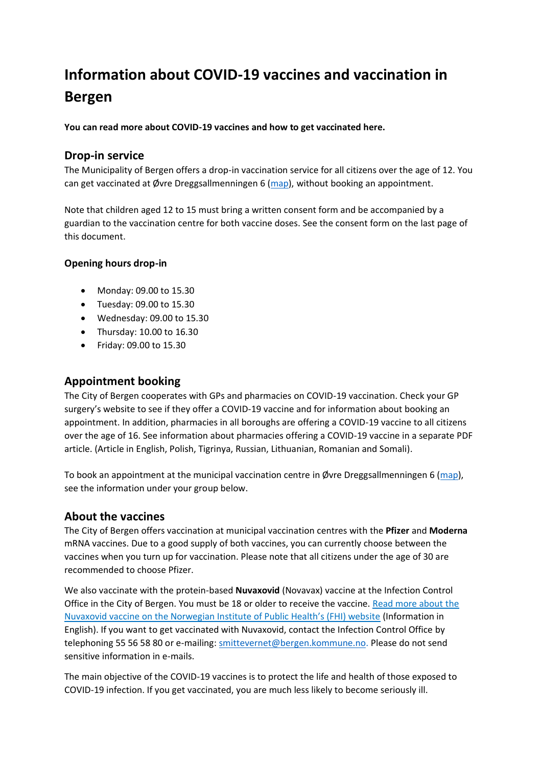# **Information about COVID-19 vaccines and vaccination in Bergen**

**You can read more about COVID-19 vaccines and how to get vaccinated here.** 

### **Drop-in service**

The Municipality of Bergen offers a drop-in vaccination service for all citizens over the age of 12. You can get vaccinated at Øvre Dreggsallmenningen 6 ( $_{\text{map}}$ ), without booking an appointment.

Note that children aged 12 to 15 must bring a written consent form and be accompanied by a guardian to the vaccination centre for both vaccine doses. See the consent form on the last page of this document.

#### **Opening hours drop-in**

- Monday: 09.00 to 15.30
- Tuesday: 09.00 to 15.30
- Wednesday: 09.00 to 15.30
- Thursday: 10.00 to 16.30
- Friday: 09.00 to 15.30

## **Appointment booking**

The City of Bergen cooperates with GPs and pharmacies on COVID-19 vaccination. Check your GP surgery's website to see if they offer a COVID-19 vaccine and for information about booking an appointment. In addition, pharmacies in all boroughs are offering a COVID-19 vaccine to all citizens over the age of 16. See [information about pharmacies offering a COVID-19 vaccine in a separate PDF](https://www.bergen.kommune.no/hvaskjer/tema/koronavirus/vaksinering/slik-blir-vaksineringen/koronavaksine-pa-apotek-i-bergen)  [article.](https://www.bergen.kommune.no/hvaskjer/tema/koronavirus/vaksinering/slik-blir-vaksineringen/koronavaksine-pa-apotek-i-bergen) (Article in English, Polish, Tigrinya, Russian, Lithuanian, Romanian and Somali).

To book an appointment at the municipal vaccination centre in Øvre Dreggsallmenningen 6 [\(map\)](https://www.google.com/maps/place/%C3%98vre+Dreggsallmenningen+6,+5003+Bergen/@60.3990483,5.3194076,17z/data=!3m1!4b1!4m5!3m4!1s0x463cfc1dc0a3407f:0x8f9d378fe70553e5!8m2!3d60.3990457!4d5.3215963), see the information under your group below.

## **About the vaccines**

The City of Bergen offers vaccination at municipal vaccination centres with the **Pfizer** and **Moderna** mRNA vaccines. Due to a good supply of both vaccines, you can currently choose between the vaccines when you turn up for vaccination. Please note that all citizens under the age of 30 are recommended to choose Pfizer.

We also vaccinate with the protein-based **Nuvaxovid** (Novavax) vaccine at the Infection Control Office in the City of Bergen. You must be 18 or older to receive the vaccine. Read more about the Nuvaxovid vaccine on the Norwegian Institute of Public Health's (FHI) website (Information in English). If you want to get vaccinated with Nuvaxovid, contact the Infection Control Office by telephoning 55 56 58 80 or e-mailing[: smittevernet@bergen.kommune.no.](mailto:smittevernet@bergen.kommune.no) Please do not send sensitive information in e-mails.

The main objective of the COVID-19 vaccines is to protect the life and health of those exposed to COVID-19 infection. If you get vaccinated, you are much less likely to become seriously ill.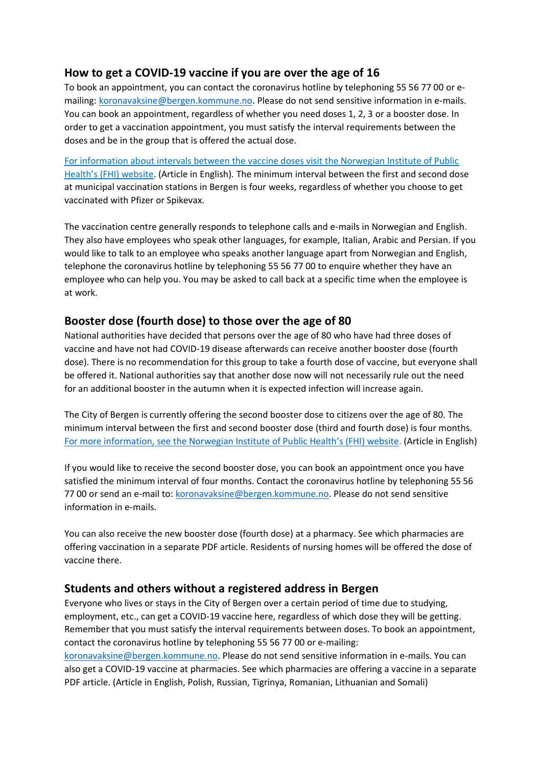## **How to get a COVID-19 vaccine if you are over the age of 16**

To book an appointment, you can contact the coronavirus hotline by telephoning 55 56 77 00 or emailing: [koronavaksine@bergen.kommune.no.](mailto:koronavaksine@bergen.kommune.no) Please do not send sensitive information in e-mails. You can book an appointment, regardless of whether you need doses 1, 2, 3 or a booster dose. In order to get a vaccination appointment, you must satisfy the interval requirements between the doses and be in the group that is offered the actual dose.

For information about intervals between the vaccine doses visit the Norwegian Institute of Public Health's (FHI) website. (Article in English). The minimum interval between the first and second dose at municipal vaccination stations in Bergen is four weeks, regardless of whether you choose to get vaccinated with Pfizer or Spikevax.

The vaccination centre generally responds to telephone calls and e-mails in Norwegian and English. They also have employees who speak other languages, for example, Italian, Arabic and Persian. If you would like to talk to an employee who speaks another language apart from Norwegian and English, telephone the coronavirus hotline by telephoning 55 56 77 00 to enquire whether they have an employee who can help you. You may be asked to call back at a specific time when the employee is at work.

### **Booster dose (fourth dose) to those over the age of 80**

National authorities have decided that persons over the age of 80 who have had three doses of vaccine and have not had COVID-19 disease afterwards can receive another booster dose (fourth dose). There is no recommendation for this group to take a fourth dose of vaccine, but everyone shall be offered it. National authorities say that another dose now will not necessarily rule out the need for an additional booster in the autumn when it is expected infection will increase again.

The City of Bergen is currently offering the second booster dose to citizens over the age of 80. The minimum interval between the first and second booster dose (third and fourth dose) is four months. [For more information, see the Norwegian Institute of Public Health](https://www.fhi.no/en/id/vaccines/coronavirus-immunisation-programme/coronavirus-vaccine/#booster-doses)'s (FHI) website. (Article in English)

If you would like to receive the second booster dose, you can book an appointment once you have satisfied the minimum interval of four months. Contact the coronavirus hotline by telephoning 55 56 77 00 or send an e-mail to: [koronavaksine@bergen.kommune.no.](mailto:koronavaksine@bergen.kommune.no) Please do not send sensitive information in e-mails.

You can also receive the new booster dose (fourth dose) at a pharmacy. See which pharmacies are offering vaccination in a separate PDF article. Residents of nursing homes will be offered the dose of vaccine there.

#### **Students and others without a registered address in Bergen**

Everyone who lives or stays in the City of Bergen over a certain period of time due to studying, employment, etc., can get a COVID-19 vaccine here, regardless of which dose they will be getting. Remember that you must satisfy the interval requirements between doses. To book an appointment, contact the coronavirus hotline by telephoning 55 56 77 00 or e-mailing: [koronavaksine@bergen.kommune.no.](mailto:koronavaksine@bergen.kommune.no) Please do not send sensitive information in e-mails. You can also get a COVID-19 vaccine at pharmacies. See which pharmacies are offering a vaccine in a separate PDF article. (Article in English, Polish, Russian, Tigrinya, Romanian, Lithuanian and Somali)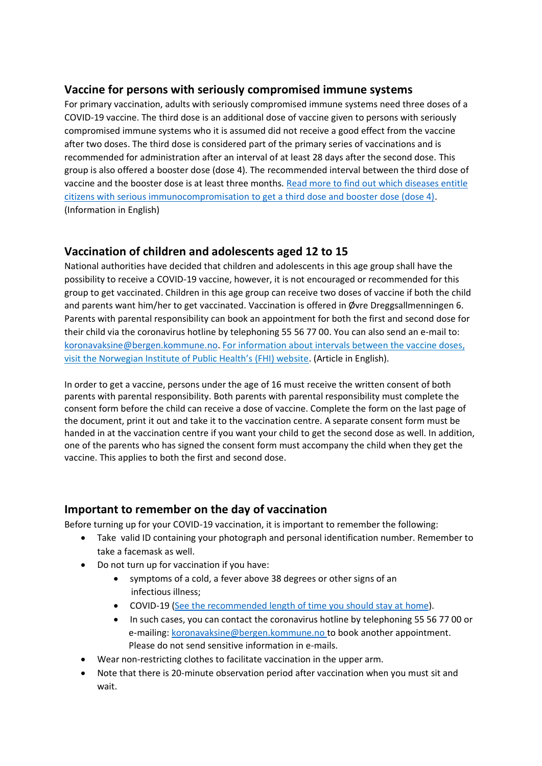## **Vaccine for persons with seriously compromised immune systems**

For primary vaccination, adults with seriously compromised immune systems need three doses of a COVID-19 vaccine. The third dose is an additional dose of vaccine given to persons with seriously compromised immune systems who it is assumed did not receive a good effect from the vaccine after two doses. The third dose is considered part of the primary series of vaccinations and is recommended for administration after an interval of at least 28 days after the second dose. This group is also offered a booster dose (dose 4). The recommended interval between the third dose of vaccine and the booster dose is at least three months. Read more to find out [which diseases entitle](https://www.fhi.no/en/news/2022/people-with-severe-immune-deficiency-should-take-a-booster-dose-4th-dose/)  [citizens with serious immunocompromisation](https://www.fhi.no/en/news/2022/people-with-severe-immune-deficiency-should-take-a-booster-dose-4th-dose/) to get a third dose and booster dose (dose 4). (Information in English)

## **Vaccination of children and adolescents aged 12 to 15**

National authorities have decided that children and adolescents in this age group shall have the possibility to receive a COVID-19 vaccine, however, it is not encouraged or recommended for this group to get vaccinated. Children in this age group can receive two doses of vaccine if both the child and parents want him/her to get vaccinated. Vaccination is offered in Øvre Dreggsallmenningen 6. Parents with parental responsibility can book an appointment for both the first and second dose for their child via the coronavirus hotline by telephoning 55 56 77 00. You can also send an e-mail to: [koronavaksine@bergen.kommune.no.](mailto:koronavaksine@bergen.kommune.no) For information about intervals between the vaccine doses, visit the Norwegian Institute of Public Health's (FHI) website. (Article in English).

In order to get a vaccine, persons under the age of 16 must receive the written consent of both parents with parental responsibility. Both parents with parental responsibility must complete the consent form before the child can receive a dose of vaccine. Complete the form on the last page of the document, print it out and take it to the vaccination centre. A separate consent form must be handed in at the vaccination centre if you want your child to get the second dose as well. In addition, one of the parents who has signed the consent form must accompany the child when they get the vaccine. This applies to both the first and second dose.

### **Important to remember on the day of vaccination**

Before turning up for your COVID-19 vaccination, it is important to remember the following:

- Take valid ID containing your photograph and personal identification number. Remember to take a facemask as well.
- Do not turn up for vaccination if you have:
	- symptoms of a cold, a fever above 38 degrees or other signs of an infectious illness;
	- COVID-19 [\(See the recommended length of time you should stay at home\).](https://www.fhi.no/en/op/novel-coronavirus-facts-advice/facts-and-general-advice/advice-when-you-or-your-household-members-have-respiratory-infections-but-a/)
	- In such cases, you can contact the coronavirus hotline by telephoning 55 56 77 00 or e-mailing[: koronavaksine@bergen.kommune.no](mailto:koronavaksine@bergen.kommune.no) to book another appointment. Please do not send sensitive information in e-mails.
- Wear non-restricting clothes to facilitate vaccination in the upper arm.
- Note that there is 20-minute observation period after vaccination when you must sit and wait.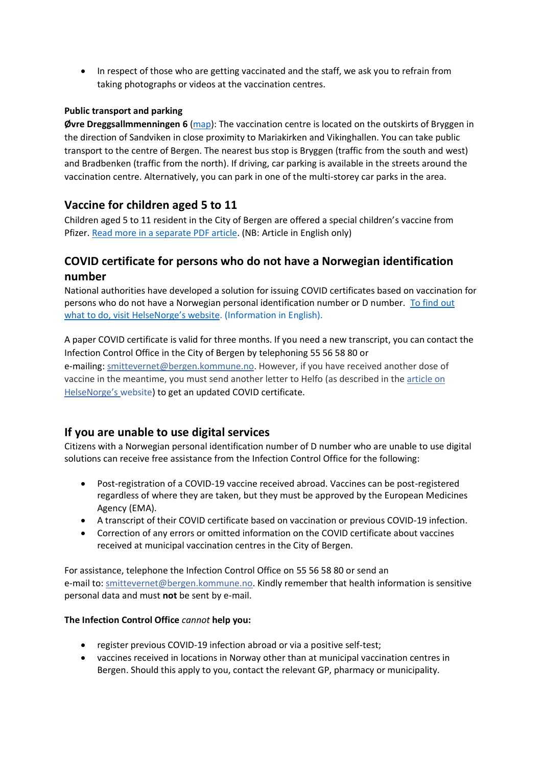• In respect of those who are getting vaccinated and the staff, we ask you to refrain from taking photographs or videos at the vaccination centres.

#### **Public transport and parking**

**Øvre Dreggsallmmenningen 6** [\(map\)](https://www.google.com/maps/place/%C3%98vre+Dreggsallmenningen+6,+5003+Bergen/@60.3990483,5.3194076,17z/data=!3m1!4b1!4m5!3m4!1s0x463cfc1dc0a3407f:0x8f9d378fe70553e5!8m2!3d60.3990457!4d5.3215963): The vaccination centre is located on the outskirts of Bryggen in the direction of Sandviken in close proximity to Mariakirken and Vikinghallen. You can take public transport to the centre of Bergen. The nearest bus stop is Bryggen (traffic from the south and west) and Bradbenken (traffic from the north). If driving, car parking is available in the streets around the vaccination centre. Alternatively, you can park in one of the multi-storey car parks in the area.

## **Vaccine for children aged 5 to 11**

Children aged 5 to 11 resident in the City of Bergen are offered a special children's vaccine from Pfizer. [Read more in a separate PDF article.](https://www.bergen.kommune.no/hvaskjer/tema/koronavirus/languages/vaccine-for-children-aged-5-to-11-years) (NB: Article in English only)

# **COVID certificate for persons who do not have a Norwegian identification number**

National authorities have developed a solution for issuing COVID certificates based on vaccination for persons who do not have a Norwegian personal identification number or D number. To find out [what to do, visit HelseNorge's websi](https://www.helsenorge.no/en/covid-19-certificate/about-covid-19-certificate/koronasertifikat-for-personer-uten-norsk-fodsels--eller-d-nummer/)te. (Information in English).

A paper COVID certificate is valid for three months. If you need a new transcript, you can contact the Infection Control Office in the City of Bergen by telephoning 55 56 58 80 or e-mailing[: smittevernet@bergen.kommune.no.](javascript:void(0)) However, if you have received another dose of vaccine in the meantime, you must send another letter to Helfo (as described in the [article on](https://www.helsenorge.no/en/covid-19-certificate/about-covid-19-certificate/koronasertifikat-for-personer-uten-norsk-fodsels--eller-d-nummer/) [HelseNorge](https://www.helsenorge.no/en/covid-19-certificate/about-covid-19-certificate/koronasertifikat-for-personer-uten-norsk-fodsels--eller-d-nummer/)'s website) to get an updated COVID certificate.

### **If you are unable to use digital services**

Citizens with a Norwegian personal identification number of D number who are unable to use digital solutions can receive free assistance from the Infection Control Office for the following:

- Post-registration of a COVID-19 vaccine received abroad. Vaccines can be post-registered regardless of where they are taken, but they must be approved by the European Medicines Agency (EMA).
- A transcript of their COVID certificate based on vaccination or previous COVID-19 infection.
- Correction of any errors or omitted information on the COVID certificate about vaccines received at municipal vaccination centres in the City of Bergen.

For assistance, telephone the Infection Control Office on 55 56 58 80 or send an e-mail to: [smittevernet@bergen.kommune.no.](javascript:void(0)) Kindly remember that health information is sensitive personal data and must **not** be sent by e-mail.

#### **The Infection Control Office** *cannot* **help you:**

- register previous COVID-19 infection abroad or via a positive self-test;
- vaccines received in locations in Norway other than at municipal vaccination centres in Bergen. Should this apply to you, contact the relevant GP, pharmacy or municipality.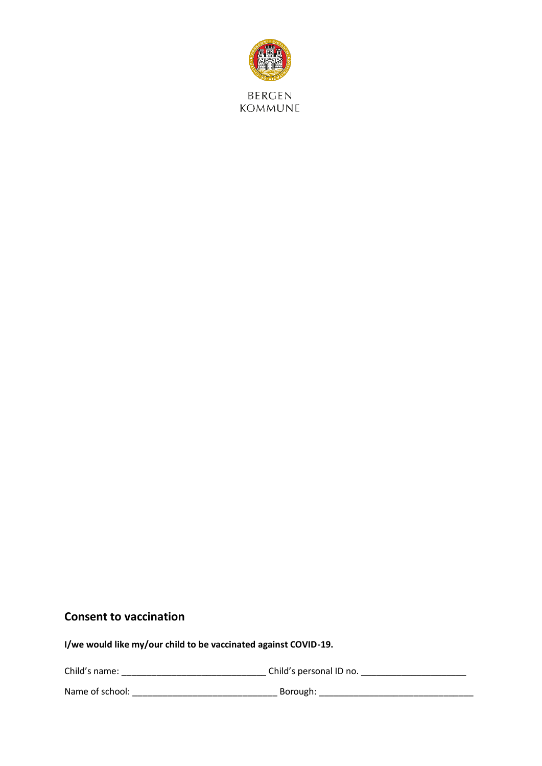

# **Consent to vaccination**

**I/we would like my/our child to be vaccinated against COVID-19.** 

| Child's name:   | Child's personal ID no. |
|-----------------|-------------------------|
| Name of school: | Borough:                |